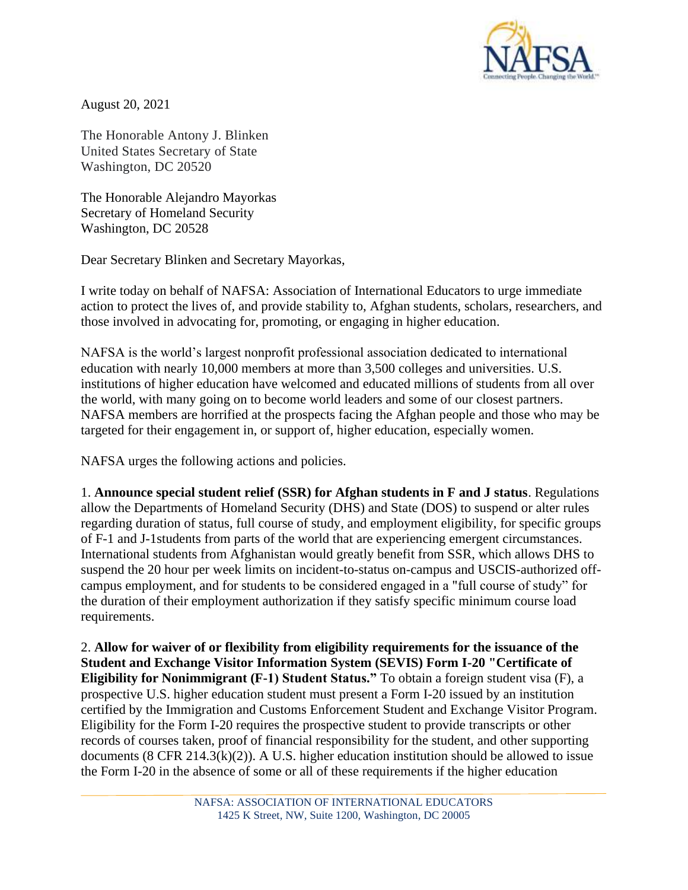

August 20, 2021

The Honorable Antony J. Blinken United States Secretary of State Washington, DC 20520

The Honorable Alejandro Mayorkas Secretary of Homeland Security Washington, DC 20528

Dear Secretary Blinken and Secretary Mayorkas,

I write today on behalf of NAFSA: Association of International Educators to urge immediate action to protect the lives of, and provide stability to, Afghan students, scholars, researchers, and those involved in advocating for, promoting, or engaging in higher education.

NAFSA is the world's largest nonprofit professional association dedicated to international education with nearly 10,000 members at more than 3,500 colleges and universities. U.S. institutions of higher education have welcomed and educated millions of students from all over the world, with many going on to become world leaders and some of our closest partners. NAFSA members are horrified at the prospects facing the Afghan people and those who may be targeted for their engagement in, or support of, higher education, especially women.

NAFSA urges the following actions and policies.

1. **Announce special student relief (SSR) for Afghan students in F and J status**. Regulations allow the Departments of Homeland Security (DHS) and State (DOS) to suspend or alter rules regarding duration of status, full course of study, and employment eligibility, for specific groups of F-1 and J-1students from parts of the world that are experiencing emergent circumstances. International students from Afghanistan would greatly benefit from SSR, which allows DHS to suspend the 20 hour per week limits on incident-to-status on-campus and USCIS-authorized offcampus employment, and for students to be considered engaged in a "full course of study" for the duration of their employment authorization if they satisfy specific minimum course load requirements.

2. **Allow for waiver of or flexibility from eligibility requirements for the issuance of the Student and Exchange Visitor Information System (SEVIS) Form I-20 "Certificate of Eligibility for Nonimmigrant (F-1) Student Status."** To obtain a foreign student visa (F), a prospective U.S. higher education student must present a Form I-20 issued by an institution certified by the Immigration and Customs Enforcement Student and Exchange Visitor Program. Eligibility for the Form I-20 requires the prospective student to provide transcripts or other records of courses taken, proof of financial responsibility for the student, and other supporting documents  $(8 \text{ CFR } 214.3 \text{ (k)}(2))$ . A U.S. higher education institution should be allowed to issue the Form I-20 in the absence of some or all of these requirements if the higher education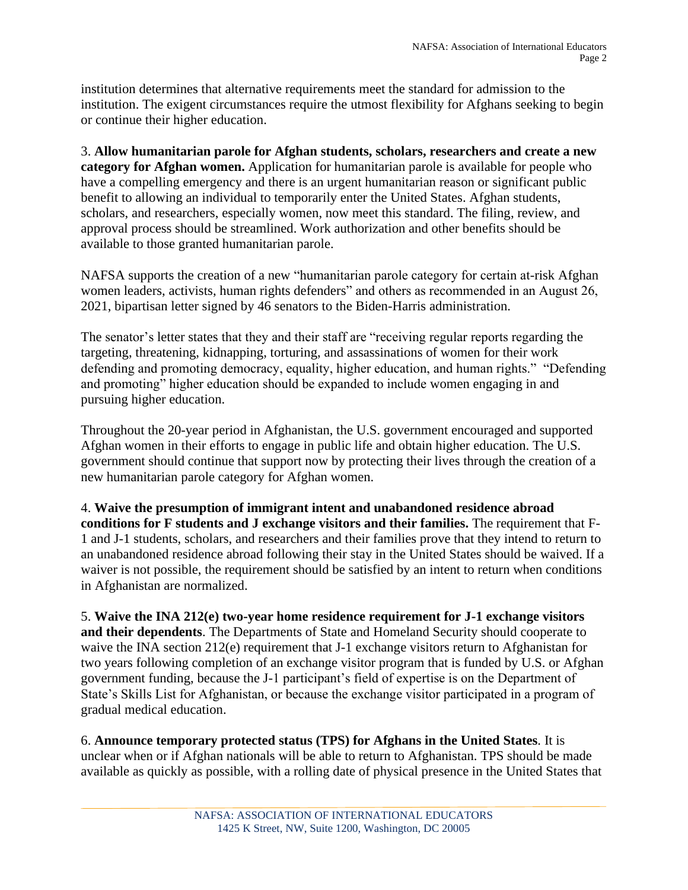institution determines that alternative requirements meet the standard for admission to the institution. The exigent circumstances require the utmost flexibility for Afghans seeking to begin or continue their higher education.

3. **Allow humanitarian parole for Afghan students, scholars, researchers and create a new category for Afghan women.** Application for humanitarian parole is available for people who have a compelling emergency and there is an urgent humanitarian reason or significant public benefit to allowing an individual to temporarily enter the United States. Afghan students, scholars, and researchers, especially women, now meet this standard. The filing, review, and approval process should be streamlined. Work authorization and other benefits should be available to those granted humanitarian parole.

NAFSA supports the creation of a new "humanitarian parole category for certain at-risk Afghan women leaders, activists, human rights defenders" and others as recommended in an August 26, 2021, bipartisan letter signed by 46 senators to the Biden-Harris administration.

The senator's letter states that they and their staff are "receiving regular reports regarding the targeting, threatening, kidnapping, torturing, and assassinations of women for their work defending and promoting democracy, equality, higher education, and human rights." "Defending and promoting" higher education should be expanded to include women engaging in and pursuing higher education.

Throughout the 20-year period in Afghanistan, the U.S. government encouraged and supported Afghan women in their efforts to engage in public life and obtain higher education. The U.S. government should continue that support now by protecting their lives through the creation of a new humanitarian parole category for Afghan women.

4. **Waive the presumption of immigrant intent and unabandoned residence abroad conditions for F students and J exchange visitors and their families.** The requirement that F-1 and J-1 students, scholars, and researchers and their families prove that they intend to return to an unabandoned residence abroad following their stay in the United States should be waived. If a waiver is not possible, the requirement should be satisfied by an intent to return when conditions in Afghanistan are normalized.

5. **Waive the INA 212(e) two-year home residence requirement for J-1 exchange visitors and their dependents**. The Departments of State and Homeland Security should cooperate to waive the INA section 212(e) requirement that J-1 exchange visitors return to Afghanistan for two years following completion of an exchange visitor program that is funded by U.S. or Afghan government funding, because the J-1 participant's field of expertise is on the Department of State's Skills List for Afghanistan, or because the exchange visitor participated in a program of gradual medical education.

6. **Announce temporary protected status (TPS) for Afghans in the United States**. It is unclear when or if Afghan nationals will be able to return to Afghanistan. TPS should be made available as quickly as possible, with a rolling date of physical presence in the United States that